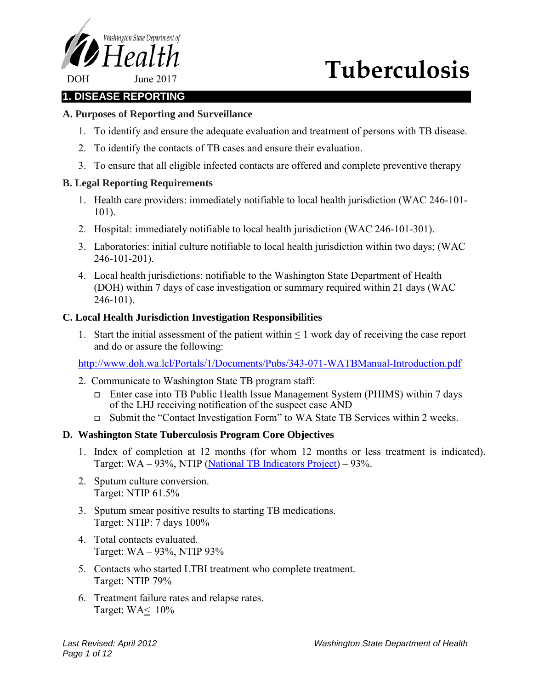

# **Tuberculosis**

# **1. DISEASE REPORTING**

# **A. Purposes of Reporting and Surveillance**

- 1. To identify and ensure the adequate evaluation and treatment of persons with TB disease.
- 2. To identify the contacts of TB cases and ensure their evaluation.
- 3. To ensure that all eligible infected contacts are offered and complete preventive therapy

#### **B. Legal Reporting Requirements**

- 1. Health care providers: immediately notifiable to local health jurisdiction (WAC 246-101- 101).
- 2. Hospital: immediately notifiable to local health jurisdiction (WAC 246-101-301).
- 3. Laboratories: initial culture notifiable to local health jurisdiction within two days; (WAC 246-101-201).
- 4. Local health jurisdictions: notifiable to the Washington State Department of Health (DOH) within 7 days of case investigation or summary required within 21 days (WAC 246-101).

#### **C. Local Health Jurisdiction Investigation Responsibilities**

1. Start the initial assessment of the patient within  $\leq 1$  work day of receiving the case report and do or assure the following:

<http://www.doh.wa.lcl/Portals/1/Documents/Pubs/343-071-WATBManual-Introduction.pdf>

- 2. Communicate to Washington State TB program staff:
	- Enter case into TB Public Health Issue Management System (PHIMS) within 7 days of the LHJ receiving notification of the suspect case AND
	- Submit the "Contact Investigation Form" to WA State TB Services within 2 weeks.

#### **D. Washington State Tuberculosis Program Core Objectives**

- 1. Index of completion at 12 months (for whom 12 months or less treatment is indicated). Target: WA – 93%, NTIP [\(National TB Indicators Project\)](http://www.cdc.gov/tb/publications/factsheets/statistics/NTIP.htm) – 93%.
- 2. Sputum culture conversion. Target: NTIP 61.5%
- 3. Sputum smear positive results to starting TB medications. Target: NTIP: 7 days 100%
- 4. Total contacts evaluated. Target: WA – 93%, NTIP 93%
- 5. Contacts who started LTBI treatment who complete treatment. Target: NTIP 79%
- 6. Treatment failure rates and relapse rates. Target:  $WA \leq 10\%$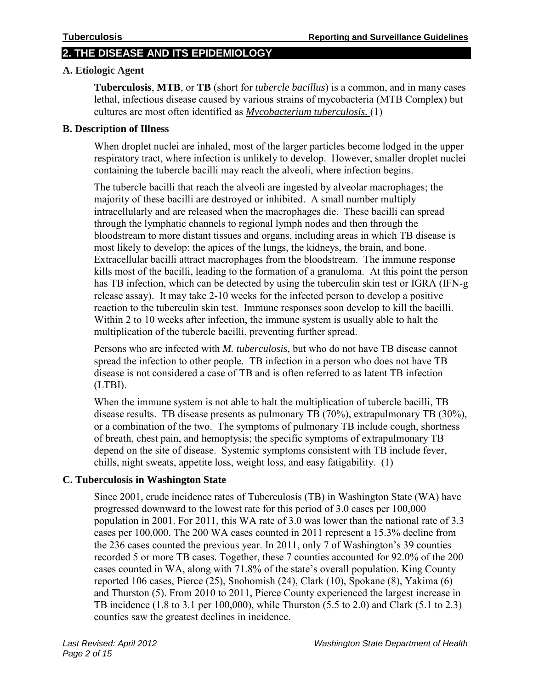# **2. THE DISEASE AND ITS EPIDEMIOLOGY**

#### **A. Etiologic Agent**

**Tuberculosis**, **MTB**, or **TB** (short for *tubercle [bacillus](http://en.wikipedia.org/wiki/Bacillus_(shape))*) is a common, and in many cases lethal, [infectious disease](http://en.wikipedia.org/wiki/Infectious_disease) caused by various strains of [mycobacteria](http://en.wikipedia.org/wiki/Mycobacterium) (MTB Complex) but cultures are most often identified as *[Mycobacterium tuberculosis.](http://en.wikipedia.org/wiki/Mycobacterium_tuberculosis)* (1)

#### **B. Description of Illness**

When droplet nuclei are inhaled, most of the larger particles become lodged in the upper respiratory tract, where infection is unlikely to develop. However, smaller droplet nuclei containing the tubercle bacilli may reach the alveoli, where infection begins.

The tubercle bacilli that reach the alveoli are ingested by alveolar macrophages; the majority of these bacilli are destroyed or inhibited. A small number multiply intracellularly and are released when the macrophages die. These bacilli can spread through the lymphatic channels to regional lymph nodes and then through the bloodstream to more distant tissues and organs, including areas in which TB disease is most likely to develop: the apices of the lungs, the kidneys, the brain, and bone. Extracellular bacilli attract macrophages from the bloodstream. The immune response kills most of the bacilli, leading to the formation of a granuloma. At this point the person has TB infection, which can be detected by using the tuberculin skin test or IGRA (IFN-g release assay). It may take 2-10 weeks for the infected person to develop a positive reaction to the tuberculin skin test. Immune responses soon develop to kill the bacilli. Within 2 to 10 weeks after infection, the immune system is usually able to halt the multiplication of the tubercle bacilli, preventing further spread.

Persons who are infected with *M. tuberculosis,* but who do not have TB disease cannot spread the infection to other people. TB infection in a person who does not have TB disease is not considered a case of TB and is often referred to as latent TB infection (LTBI).

When the immune system is not able to halt the multiplication of tubercle bacilli, TB disease results. TB disease presents as pulmonary TB (70%), extrapulmonary TB (30%), or a combination of the two. The symptoms of pulmonary TB include cough, shortness of breath, chest pain, and hemoptysis; the specific symptoms of extrapulmonary TB depend on the site of disease. Systemic symptoms consistent with TB include fever, chills, night sweats, appetite loss, weight loss, and easy fatigability. (1)

#### **C. Tuberculosis in Washington State**

Since 2001, crude incidence rates of Tuberculosis (TB) in Washington State (WA) have progressed downward to the lowest rate for this period of 3.0 cases per 100,000 population in 2001. For 2011, this WA rate of 3.0 was lower than the national rate of 3.3 cases per 100,000. The 200 WA cases counted in 2011 represent a 15.3% decline from the 236 cases counted the previous year. In 2011, only 7 of Washington's 39 counties recorded 5 or more TB cases. Together, these 7 counties accounted for 92.0% of the 200 cases counted in WA, along with 71.8% of the state's overall population. King County reported 106 cases, Pierce (25), Snohomish (24), Clark (10), Spokane (8), Yakima (6) and Thurston (5). From 2010 to 2011, Pierce County experienced the largest increase in TB incidence (1.8 to 3.1 per 100,000), while Thurston (5.5 to 2.0) and Clark (5.1 to 2.3) counties saw the greatest declines in incidence.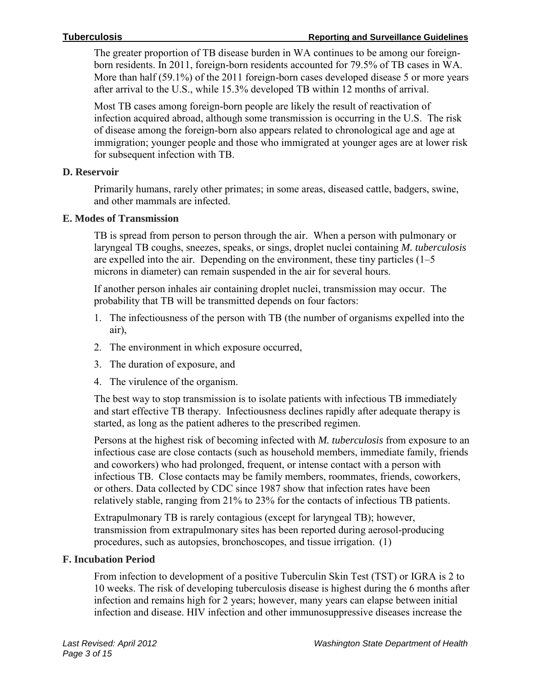The greater proportion of TB disease burden in WA continues to be among our foreignborn residents. In 2011, foreign-born residents accounted for 79.5% of TB cases in WA. More than half (59.1%) of the 2011 foreign-born cases developed disease 5 or more years after arrival to the U.S., while 15.3% developed TB within 12 months of arrival.

Most TB cases among foreign-born people are likely the result of reactivation of infection acquired abroad, although some transmission is occurring in the U.S. The risk of disease among the foreign-born also appears related to chronological age and age at immigration; younger people and those who immigrated at younger ages are at lower risk for subsequent infection with TB.

#### **D. Reservoir**

Primarily humans, rarely other primates; in some areas, diseased cattle, badgers, swine, and other mammals are infected.

#### **E. Modes of Transmission**

TB is spread from person to person through the air. When a person with pulmonary or laryngeal TB coughs, sneezes, speaks, or sings, droplet nuclei containing *M. tuberculosis* are expelled into the air. Depending on the environment, these tiny particles (1–5 microns in diameter) can remain suspended in the air for several hours.

If another person inhales air containing droplet nuclei, transmission may occur. The probability that TB will be transmitted depends on four factors:

- 1. The infectiousness of the person with TB (the number of organisms expelled into the air),
- 2. The environment in which exposure occurred,
- 3. The duration of exposure, and
- 4. The virulence of the organism.

The best way to stop transmission is to isolate patients with infectious TB immediately and start effective TB therapy. Infectiousness declines rapidly after adequate therapy is started, as long as the patient adheres to the prescribed regimen.

Persons at the highest risk of becoming infected with *M. tuberculosis* from exposure to an infectious case are close contacts (such as household members, immediate family, friends and coworkers) who had prolonged, frequent, or intense contact with a person with infectious TB. Close contacts may be family members, roommates, friends, coworkers, or others. Data collected by CDC since 1987 show that infection rates have been relatively stable, ranging from 21% to 23% for the contacts of infectious TB patients.

Extrapulmonary TB is rarely contagious (except for laryngeal TB); however, transmission from extrapulmonary sites has been reported during aerosol-producing procedures, such as autopsies, bronchoscopes, and tissue irrigation. (1)

#### **F. Incubation Period**

From infection to development of a positive Tuberculin Skin Test (TST) or IGRA is 2 to 10 weeks. The risk of developing tuberculosis disease is highest during the 6 months after infection and remains high for 2 years; however, many years can elapse between initial infection and disease. HIV infection and other immunosuppressive diseases increase the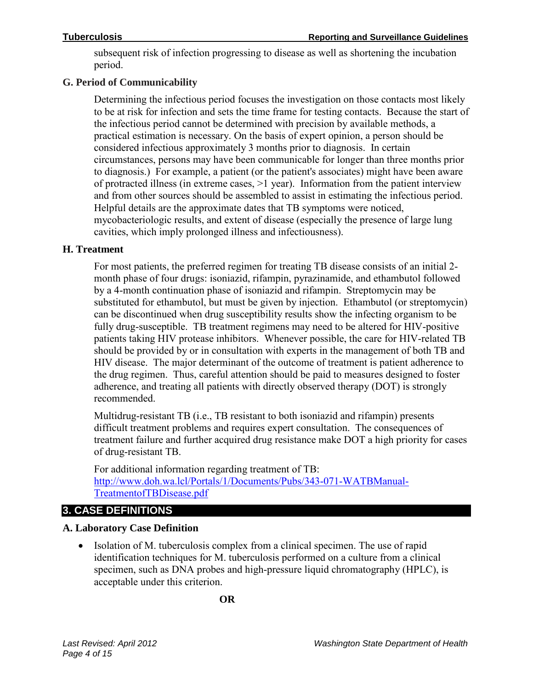subsequent risk of infection progressing to disease as well as shortening the incubation period.

# **G. Period of Communicability**

Determining the infectious period focuses the investigation on those contacts most likely to be at risk for infection and sets the time frame for testing contacts. Because the start of the infectious period cannot be determined with precision by available methods, a practical estimation is necessary. On the basis of expert opinion, a person should be considered infectious approximately 3 months prior to diagnosis. In certain circumstances, persons may have been communicable for longer than three months prior to diagnosis.) For example, a patient (or the patient's associates) might have been aware of protracted illness (in extreme cases, >1 year). Information from the patient interview and from other sources should be assembled to assist in estimating the infectious period. Helpful details are the approximate dates that TB symptoms were noticed, mycobacteriologic results, and extent of disease (especially the presence of large lung cavities, which imply prolonged illness and infectiousness).

# **H. Treatment**

For most patients, the preferred regimen for treating TB disease consists of an initial 2 month phase of four drugs: isoniazid, rifampin, pyrazinamide, and ethambutol followed by a 4-month continuation phase of isoniazid and rifampin. Streptomycin may be substituted for ethambutol, but must be given by injection. Ethambutol (or streptomycin) can be discontinued when drug susceptibility results show the infecting organism to be fully drug-susceptible. TB treatment regimens may need to be altered for HIV-positive patients taking HIV protease inhibitors. Whenever possible, the care for HIV-related TB should be provided by or in consultation with experts in the management of both TB and HIV disease. The major determinant of the outcome of treatment is patient adherence to the drug regimen. Thus, careful attention should be paid to measures designed to foster adherence, and treating all patients with directly observed therapy (DOT) is strongly recommended.

Multidrug-resistant TB (i.e., TB resistant to both isoniazid and rifampin) presents difficult treatment problems and requires expert consultation. The consequences of treatment failure and further acquired drug resistance make DOT a high priority for cases of drug-resistant TB.

For additional information regarding treatment of TB: [http://www.doh.wa.lcl/Portals/1/Documents/Pubs/343-071-WATBManual-](http://www.doh.wa.lcl/Portals/1/Documents/Pubs/343-071-WATBManual-TreatmentofTBDisease.pdf)[TreatmentofTBDisease.pdf](http://www.doh.wa.lcl/Portals/1/Documents/Pubs/343-071-WATBManual-TreatmentofTBDisease.pdf) 

# **3. CASE DEFINITIONS**

# **A. Laboratory Case Definition**

• Isolation of M. tuberculosis complex from a clinical specimen. The use of rapid identification techniques for M. tuberculosis performed on a culture from a clinical specimen, such as DNA probes and high-pressure liquid chromatography (HPLC), is acceptable under this criterion.

**OR**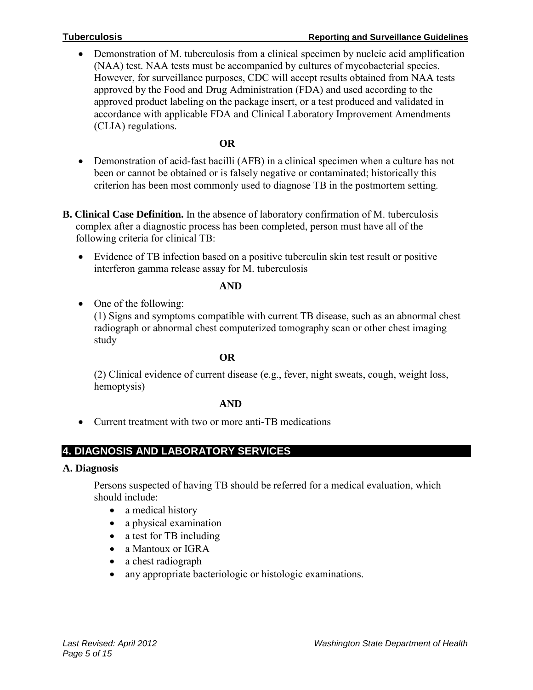• Demonstration of M. tuberculosis from a clinical specimen by nucleic acid amplification (NAA) test. NAA tests must be accompanied by cultures of mycobacterial species. However, for surveillance purposes, CDC will accept results obtained from NAA tests approved by the Food and Drug Administration (FDA) and used according to the approved product labeling on the package insert, or a test produced and validated in accordance with applicable FDA and Clinical Laboratory Improvement Amendments (CLIA) regulations.

### **OR**

- Demonstration of acid-fast bacilli (AFB) in a clinical specimen when a culture has not been or cannot be obtained or is falsely negative or contaminated; historically this criterion has been most commonly used to diagnose TB in the postmortem setting.
- **B. Clinical Case Definition.** In the absence of laboratory confirmation of M. tuberculosis complex after a diagnostic process has been completed, person must have all of the following criteria for clinical TB:
	- Evidence of TB infection based on a positive tuberculin skin test result or positive interferon gamma release assay for M. tuberculosis

#### **AND**

• One of the following:

(1) Signs and symptoms compatible with current TB disease, such as an abnormal chest radiograph or abnormal chest computerized tomography scan or other chest imaging study

#### **OR**

(2) Clinical evidence of current disease (e.g., fever, night sweats, cough, weight loss, hemoptysis)

#### **AND**

• Current treatment with two or more anti-TB medications

# **4. DIAGNOSIS AND LABORATORY SERVICES**

#### **A. Diagnosis**

Persons suspected of having TB should be referred for a medical evaluation, which should include:

- a medical history
- a physical examination
- a test for TB including
- a Mantoux or IGRA
- a chest radiograph
- any appropriate bacteriologic or histologic examinations.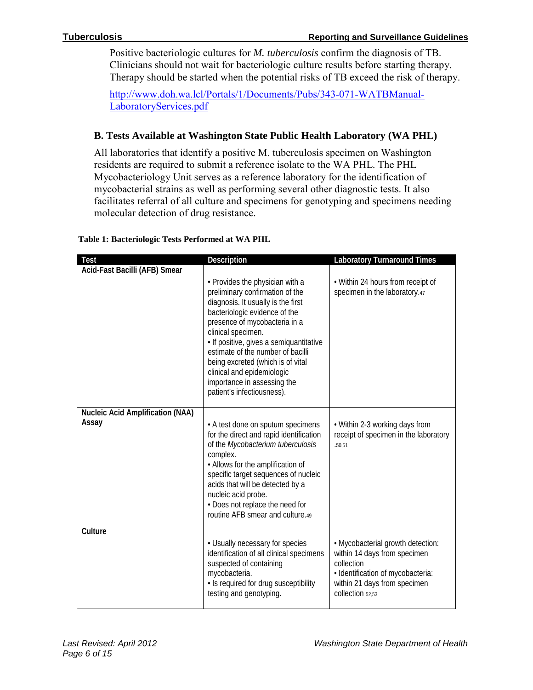Positive bacteriologic cultures for *M. tuberculosis* confirm the diagnosis of TB. Clinicians should not wait for bacteriologic culture results before starting therapy. Therapy should be started when the potential risks of TB exceed the risk of therapy.

[http://www.doh.wa.lcl/Portals/1/Documents/Pubs/343-071-WATBManual-](http://www.doh.wa.lcl/Portals/1/Documents/Pubs/343-071-WATBManual-LaboratoryServices.pdf)[LaboratoryServices.pdf](http://www.doh.wa.lcl/Portals/1/Documents/Pubs/343-071-WATBManual-LaboratoryServices.pdf) 

# **B. Tests Available at Washington State Public Health Laboratory (WA PHL)**

All laboratories that identify a positive M. tuberculosis specimen on Washington residents are required to submit a reference isolate to the WA PHL. The PHL Mycobacteriology Unit serves as a reference laboratory for the identification of mycobacterial strains as well as performing several other diagnostic tests. It also facilitates referral of all culture and specimens for genotyping and specimens needing molecular detection of drug resistance.

| Test                                             | Description                                                                                                                                                                                                                                                                                                                                                                                                      | <b>Laboratory Turnaround Times</b>                                                                                                                                       |
|--------------------------------------------------|------------------------------------------------------------------------------------------------------------------------------------------------------------------------------------------------------------------------------------------------------------------------------------------------------------------------------------------------------------------------------------------------------------------|--------------------------------------------------------------------------------------------------------------------------------------------------------------------------|
| Acid-Fast Bacilli (AFB) Smear                    |                                                                                                                                                                                                                                                                                                                                                                                                                  |                                                                                                                                                                          |
|                                                  | • Provides the physician with a<br>preliminary confirmation of the<br>diagnosis. It usually is the first<br>bacteriologic evidence of the<br>presence of mycobacteria in a<br>clinical specimen.<br>· If positive, gives a semiquantitative<br>estimate of the number of bacilli<br>being excreted (which is of vital<br>clinical and epidemiologic<br>importance in assessing the<br>patient's infectiousness). | • Within 24 hours from receipt of<br>specimen in the laboratory.47                                                                                                       |
| <b>Nucleic Acid Amplification (NAA)</b><br>Assay |                                                                                                                                                                                                                                                                                                                                                                                                                  |                                                                                                                                                                          |
|                                                  | • A test done on sputum specimens<br>for the direct and rapid identification<br>of the Mycobacterium tuberculosis<br>complex.<br>• Allows for the amplification of<br>specific target sequences of nucleic<br>acids that will be detected by a<br>nucleic acid probe.<br>• Does not replace the need for<br>routine AFB smear and culture.49                                                                     | • Within 2-3 working days from<br>receipt of specimen in the laboratory<br>.50,51                                                                                        |
| Culture                                          |                                                                                                                                                                                                                                                                                                                                                                                                                  |                                                                                                                                                                          |
|                                                  | • Usually necessary for species<br>identification of all clinical specimens<br>suspected of containing<br>mycobacteria.<br>• Is required for drug susceptibility<br>testing and genotyping.                                                                                                                                                                                                                      | . Mycobacterial growth detection:<br>within 14 days from specimen<br>collection<br>· Identification of mycobacteria:<br>within 21 days from specimen<br>collection 52.53 |

#### **Table 1: Bacteriologic Tests Performed at WA PHL**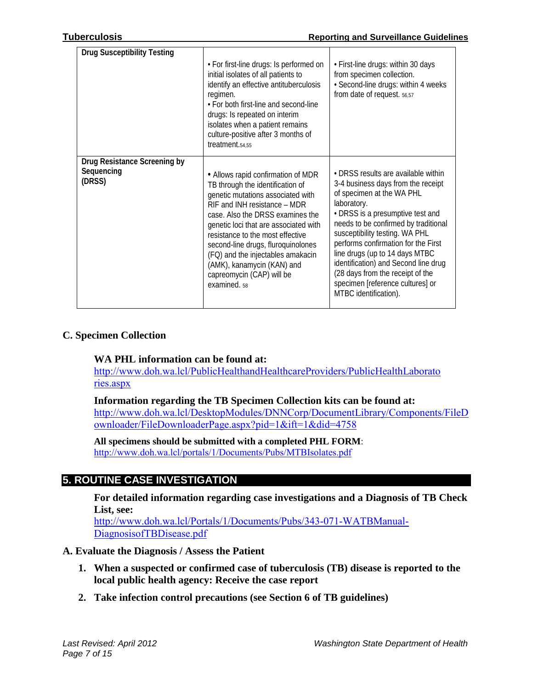| <b>Drug Susceptibility Testing</b>                   | • For first-line drugs: Is performed on<br>initial isolates of all patients to<br>identify an effective antituberculosis<br>regimen.<br>• For both first-line and second-line<br>drugs: Is repeated on interim<br>isolates when a patient remains<br>culture-positive after 3 months of<br>treatment.54,55                                                                                                                    | • First-line drugs: within 30 days<br>from specimen collection.<br>· Second-line drugs: within 4 weeks<br>from date of request. 56,57                                                                                                                                                                                                                                                                                                                 |
|------------------------------------------------------|-------------------------------------------------------------------------------------------------------------------------------------------------------------------------------------------------------------------------------------------------------------------------------------------------------------------------------------------------------------------------------------------------------------------------------|-------------------------------------------------------------------------------------------------------------------------------------------------------------------------------------------------------------------------------------------------------------------------------------------------------------------------------------------------------------------------------------------------------------------------------------------------------|
| Drug Resistance Screening by<br>Sequencing<br>(DRSS) | • Allows rapid confirmation of MDR<br>TB through the identification of<br>genetic mutations associated with<br>RIF and INH resistance - MDR<br>case. Also the DRSS examines the<br>genetic loci that are associated with<br>resistance to the most effective<br>second-line drugs, fluroquinolones<br>(FQ) and the injectables amakacin<br>(AMK), kanamycin (KAN) and<br>capreomycin (CAP) will be<br>examined. <sub>58</sub> | • DRSS results are available within<br>3-4 business days from the receipt<br>of specimen at the WA PHL<br>laboratory.<br>• DRSS is a presumptive test and<br>needs to be confirmed by traditional<br>susceptibility testing. WA PHL<br>performs confirmation for the First<br>line drugs (up to 14 days MTBC<br>identification) and Second line drug<br>(28 days from the receipt of the<br>specimen [reference cultures] or<br>MTBC identification). |

#### **C. Specimen Collection**

#### **WA PHL information can be found at:**

[http://www.doh.wa.lcl/PublicHealthandHealthcareProviders/PublicHealthLaborato](http://www.doh.wa.lcl/PublicHealthandHealthcareProviders/PublicHealthLaborato%0b%20%20%20%20%20%20%20%20%20%20%20%20ries.aspx)  [ries.aspx](http://www.doh.wa.lcl/PublicHealthandHealthcareProviders/PublicHealthLaborato%0b%20%20%20%20%20%20%20%20%20%20%20%20ries.aspx)

**Information regarding the TB Specimen Collection kits can be found at:** [http://www.doh.wa.lcl/DesktopModules/DNNCorp/DocumentLibrary/Components/FileD](http://www.doh.wa.lcl/DesktopModules/DNNCorp/DocumentLibrary/Components/FileDownloader/FileDownloaderPage.aspx?pid=1&ift=1&did=4758) [ownloader/FileDownloaderPage.aspx?pid=1&ift=1&did=4758](http://www.doh.wa.lcl/DesktopModules/DNNCorp/DocumentLibrary/Components/FileDownloader/FileDownloaderPage.aspx?pid=1&ift=1&did=4758)

**All specimens should be submitted with a completed PHL FORM**: <http://www.doh.wa.lcl/portals/1/Documents/Pubs/MTBIsolates.pdf>

# **5. ROUTINE CASE INVESTIGATION**

#### **For detailed information regarding case investigations and a Diagnosis of TB Check List, see:**

[http://www.doh.wa.lcl/Portals/1/Documents/Pubs/343-071-WATBManual-](http://www.doh.wa.lcl/Portals/1/Documents/Pubs/343-071-WATBManual-DiagnosisofTBDisease.pdf)[DiagnosisofTBDisease.pdf](http://www.doh.wa.lcl/Portals/1/Documents/Pubs/343-071-WATBManual-DiagnosisofTBDisease.pdf)

# **A. Evaluate the Diagnosis / Assess the Patient**

- **1. When a suspected or confirmed case of tuberculosis (TB) disease is reported to the local public health agency: Receive the case report**
- **2. Take infection control precautions (see Section 6 of TB guidelines)**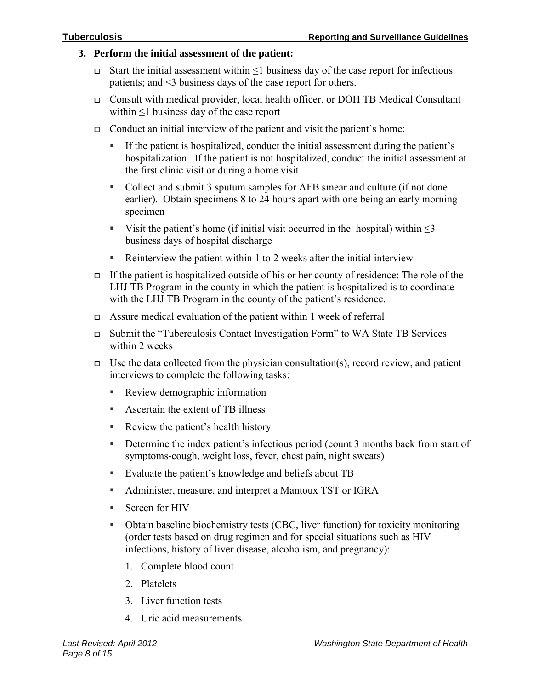#### **3. Perform the initial assessment of the patient:**

- Start the initial assessment within ≤1 business day of the case report for infectious patients; and <3 business days of the case report for others.
- Consult with medical provider, local health officer, or DOH TB Medical Consultant within ≤1 business day of the case report
- Conduct an initial interview of the patient and visit the patient's home:
	- If the patient is hospitalized, conduct the initial assessment during the patient's hospitalization. If the patient is not hospitalized, conduct the initial assessment at the first clinic visit or during a home visit
	- Collect and submit 3 sputum samples for AFB smear and culture (if not done earlier). Obtain specimens 8 to 24 hours apart with one being an early morning specimen
	- Visit the patient's home (if initial visit occurred in the hospital) within  $\leq$ 3 business days of hospital discharge
	- Reinterview the patient within 1 to 2 weeks after the initial interview
- If the patient is hospitalized outside of his or her county of residence: The role of the LHJ TB Program in the county in which the patient is hospitalized is to coordinate with the LHJ TB Program in the county of the patient's residence.
- Assure medical evaluation of the patient within 1 week of referral
- Submit the "Tuberculosis Contact Investigation Form" to WA State TB Services within 2 weeks
- $\Box$  Use the data collected from the physician consultation(s), record review, and patient interviews to complete the following tasks:
	- **Review demographic information**
	- Ascertain the extent of TB illness
	- Review the patient's health history
	- Determine the index patient's infectious period (count 3 months back from start of symptoms-cough, weight loss, fever, chest pain, night sweats)
	- Evaluate the patient's knowledge and beliefs about TB
	- Administer, measure, and interpret a Mantoux TST or IGRA
	- Screen for HIV
	- Obtain baseline biochemistry tests (CBC, liver function) for toxicity monitoring (order tests based on drug regimen and for special situations such as HIV infections, history of liver disease, alcoholism, and pregnancy):
		- 1. Complete blood count
		- 2. Platelets
		- 3. Liver function tests
		- 4. Uric acid measurements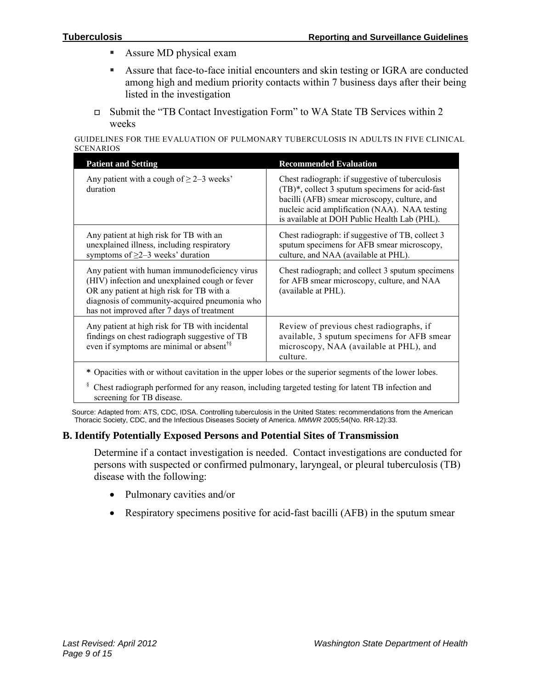- **Assure MD physical exam**
- Assure that face-to-face initial encounters and skin testing or IGRA are conducted among high and medium priority contacts within 7 business days after their being listed in the investigation
- Submit the "TB Contact Investigation Form" to WA State TB Services within 2 weeks

GUIDELINES FOR THE EVALUATION OF PULMONARY TUBERCULOSIS IN ADULTS IN FIVE CLINICAL **SCENARIOS** 

| <b>Patient and Setting</b>                                                                                                                                                                                                                  | <b>Recommended Evaluation</b>                                                                                                                                                                                                                       |  |
|---------------------------------------------------------------------------------------------------------------------------------------------------------------------------------------------------------------------------------------------|-----------------------------------------------------------------------------------------------------------------------------------------------------------------------------------------------------------------------------------------------------|--|
| Any patient with a cough of $\geq 2-3$ weeks'<br>duration                                                                                                                                                                                   | Chest radiograph: if suggestive of tuberculosis<br>(TB)*, collect 3 sputum specimens for acid-fast<br>bacilli (AFB) smear microscopy, culture, and<br>nucleic acid amplification (NAA). NAA testing<br>is available at DOH Public Health Lab (PHL). |  |
| Any patient at high risk for TB with an<br>unexplained illness, including respiratory<br>symptoms of $\geq$ 2–3 weeks' duration                                                                                                             | Chest radiograph: if suggestive of TB, collect 3<br>sputum specimens for AFB smear microscopy,<br>culture, and NAA (available at PHL).                                                                                                              |  |
| Any patient with human immunodeficiency virus<br>(HIV) infection and unexplained cough or fever<br>OR any patient at high risk for TB with a<br>diagnosis of community-acquired pneumonia who<br>has not improved after 7 days of treatment | Chest radiograph; and collect 3 sputum specimens<br>for AFB smear microscopy, culture, and NAA<br>(available at PHL).                                                                                                                               |  |
| Any patient at high risk for TB with incidental<br>findings on chest radiograph suggestive of TB<br>even if symptoms are minimal or absent <sup>†§</sup>                                                                                    | Review of previous chest radiographs, if<br>available, 3 sputum specimens for AFB smear<br>microscopy, NAA (available at PHL), and<br>culture.                                                                                                      |  |
| * Opacities with or without cavitation in the upper lobes or the superior segments of the lower lobes.                                                                                                                                      |                                                                                                                                                                                                                                                     |  |

§ Chest radiograph performed for any reason, including targeted testing for latent TB infection and screening for TB disease.

Source: Adapted from: ATS, CDC, IDSA. Controlling tuberculosis in the United States: recommendations from the American Thoracic Society, CDC, and the Infectious Diseases Society of America. *MMWR* 2005;54(No. RR-12):33.

# **B. Identify Potentially Exposed Persons and Potential Sites of Transmission**

Determine if a contact investigation is needed. Contact investigations are conducted for persons with suspected or confirmed pulmonary, laryngeal, or pleural tuberculosis (TB) disease with the following:

- Pulmonary cavities and/or
- Respiratory specimens positive for acid-fast bacilli (AFB) in the sputum smear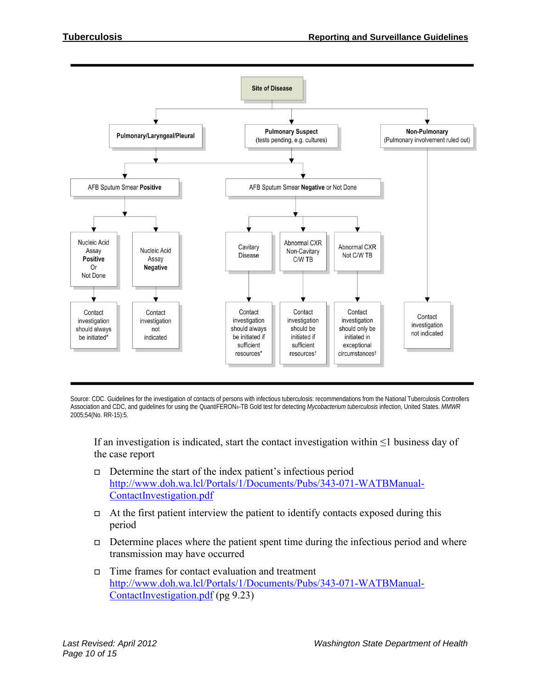

Source: CDC. Guidelines for the investigation of contacts of persons with infectious tuberculosis: recommendations from the National Tuberculosis Controllers Association and CDC, and guidelines for using the QuantiFERON®-TB Gold test for detecting *Mycobacterium tuberculosis* infection, United States. *MMWR*  2005;54(No. RR-15):5.

If an investigation is indicated, start the contact investigation within  $\leq 1$  business day of the case report

- $\Box$  Determine the start of the index patient's infectious period [http://www.doh.wa.lcl/Portals/1/Documents/Pubs/343-071-WATBManual-](http://www.doh.wa.lcl/Portals/1/Documents/Pubs/343-071-WATBManual-ContactInvestigation.pdf)[ContactInvestigation.pdf](http://www.doh.wa.lcl/Portals/1/Documents/Pubs/343-071-WATBManual-ContactInvestigation.pdf)
- $\Box$  At the first patient interview the patient to identify contacts exposed during this period
- Determine places where the patient spent time during the infectious period and where transmission may have occurred
- $\Box$  Time frames for contact evaluation and treatment [http://www.doh.wa.lcl/Portals/1/Documents/Pubs/343-071-WATBManual-](http://www.doh.wa.lcl/Portals/1/Documents/Pubs/343-071-WATBManual-ContactInvestigation.pdf)[ContactInvestigation.pdf](http://www.doh.wa.lcl/Portals/1/Documents/Pubs/343-071-WATBManual-ContactInvestigation.pdf) (pg 9.23)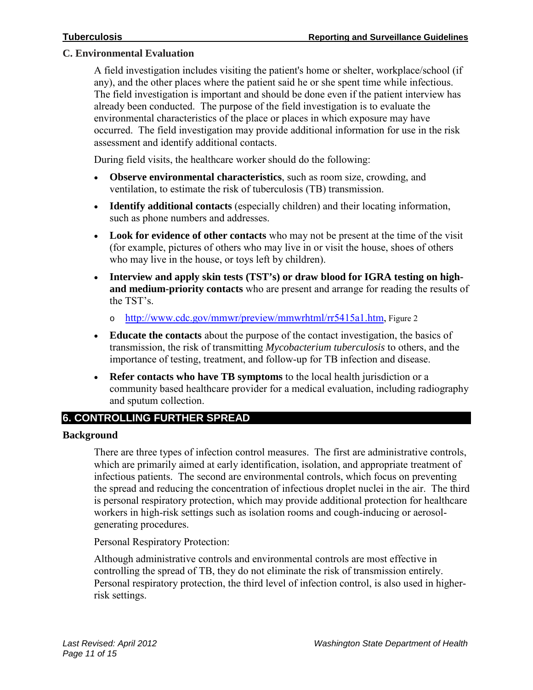#### **C. Environmental Evaluation**

A field investigation includes visiting the patient's home or shelter, workplace/school (if any), and the other places where the patient said he or she spent time while infectious. The field investigation is important and should be done even if the patient interview has already been conducted. The purpose of the field investigation is to evaluate the environmental characteristics of the place or places in which exposure may have occurred. The field investigation may provide additional information for use in the risk assessment and identify additional contacts.

During field visits, the healthcare worker should do the following:

- **Observe environmental characteristics**, such as room size, crowding, and ventilation, to estimate the risk of tuberculosis (TB) transmission.
- **Identify additional contacts** (especially children) and their locating information, such as phone numbers and addresses.
- **Look for evidence of other contacts** who may not be present at the time of the visit (for example, pictures of others who may live in or visit the house, shoes of others who may live in the house, or toys left by children).
- **Interview and apply skin tests (TST's) or draw blood for IGRA testing on highand medium-priority contacts** who are present and arrange for reading the results of the TST's.
	- o [http://www.cdc.gov/mmwr/preview/mmwrhtml/rr5415a1.htm,](http://www.cdc.gov/mmwr/preview/mmwrhtml/rr5415a1.htm) Figure 2
- **Educate the contacts** about the purpose of the contact investigation, the basics of transmission, the risk of transmitting *Mycobacterium tuberculosis* to others, and the importance of testing, treatment, and follow-up for TB infection and disease.
- **Refer contacts who have TB symptoms** to the local health jurisdiction or a community based healthcare provider for a medical evaluation, including radiography and sputum collection.

# **6. CONTROLLING FURTHER SPREAD**

#### **Background**

There are three types of infection control measures. The first are administrative controls, which are primarily aimed at early identification, isolation, and appropriate treatment of infectious patients. The second are environmental controls, which focus on preventing the spread and reducing the concentration of infectious droplet nuclei in the air. The third is personal respiratory protection, which may provide additional protection for healthcare workers in high-risk settings such as isolation rooms and cough-inducing or aerosolgenerating procedures.

Personal Respiratory Protection:

Although administrative controls and environmental controls are most effective in controlling the spread of TB, they do not eliminate the risk of transmission entirely. Personal respiratory protection, the third level of infection control, is also used in higherrisk settings.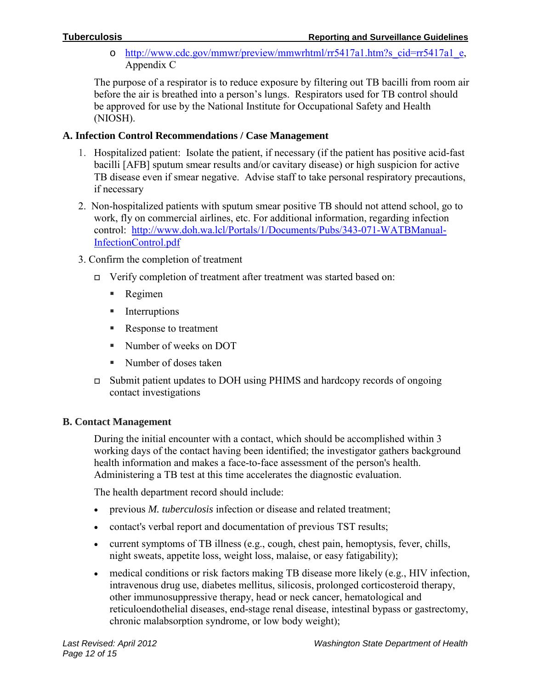o [http://www.cdc.gov/mmwr/preview/mmwrhtml/rr5417a1.htm?s\\_cid=rr5417a1\\_e,](http://www.cdc.gov/mmwr/preview/mmwrhtml/rr5417a1.htm?s_cid=rr5417a1_e) Appendix C

The purpose of a respirator is to reduce exposure by filtering out TB bacilli from room air before the air is breathed into a person's lungs. Respirators used for TB control should be approved for use by the National Institute for Occupational Safety and Health (NIOSH).

# **A. Infection Control Recommendations / Case Management**

- 1. Hospitalized patient: Isolate the patient, if necessary (if the patient has positive acid-fast bacilli [AFB] sputum smear results and/or cavitary disease) or high suspicion for active TB disease even if smear negative. Advise staff to take personal respiratory precautions, if necessary
- 2. Non-hospitalized patients with sputum smear positive TB should not attend school, go to work, fly on commercial airlines, etc. For additional information, regarding infection control: [http://www.doh.wa.lcl/Portals/1/Documents/Pubs/343-071-WATBManual-](http://www.doh.wa.lcl/Portals/1/Documents/Pubs/343-071-WATBManual-InfectionControl.pdf)[InfectionControl.pdf](http://www.doh.wa.lcl/Portals/1/Documents/Pubs/343-071-WATBManual-InfectionControl.pdf)
- 3. Confirm the completion of treatment
	- Verify completion of treatment after treatment was started based on:
		- Regimen
		- **Interruptions**
		- Response to treatment
		- Number of weeks on DOT
		- Number of doses taken
	- Submit patient updates to DOH using PHIMS and hardcopy records of ongoing contact investigations

# **B. Contact Management**

During the initial encounter with a contact, which should be accomplished within 3 working days of the contact having been identified; the investigator gathers background health information and makes a face-to-face assessment of the person's health. Administering a TB test at this time accelerates the diagnostic evaluation.

The health department record should include:

- previous *M. tuberculosis* infection or disease and related treatment;
- contact's verbal report and documentation of previous TST results;
- current symptoms of TB illness (e.g., cough, chest pain, hemoptysis, fever, chills, night sweats, appetite loss, weight loss, malaise, or easy fatigability);
- medical conditions or risk factors making TB disease more likely (e.g., HIV infection, intravenous drug use, diabetes mellitus, silicosis, prolonged corticosteroid therapy, other immunosuppressive therapy, head or neck cancer, hematological and reticuloendothelial diseases, end-stage renal disease, intestinal bypass or gastrectomy, chronic malabsorption syndrome, or low body weight);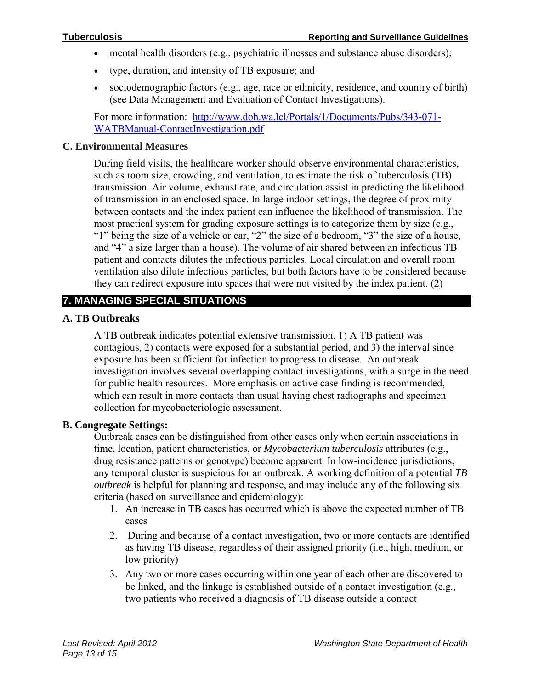- mental health disorders (e.g., psychiatric illnesses and substance abuse disorders);
- type, duration, and intensity of TB exposure; and
- sociodemographic factors (e.g., age, race or ethnicity, residence, and country of birth) (see Data Management and Evaluation of Contact Investigations).

For more information: [http://www.doh.wa.lcl/Portals/1/Documents/Pubs/343-071-](http://www.doh.wa.lcl/Portals/1/Documents/Pubs/343-071-WATBManual-ContactInvestigation.pdf) [WATBManual-ContactInvestigation.pdf](http://www.doh.wa.lcl/Portals/1/Documents/Pubs/343-071-WATBManual-ContactInvestigation.pdf) 

#### **C. Environmental Measures**

During field visits, the healthcare worker should observe environmental characteristics, such as room size, crowding, and ventilation, to estimate the risk of tuberculosis (TB) transmission. Air volume, exhaust rate, and circulation assist in predicting the likelihood of transmission in an enclosed space. In large indoor settings, the degree of proximity between contacts and the index patient can influence the likelihood of transmission. The most practical system for grading exposure settings is to categorize them by size (e.g., "1" being the size of a vehicle or car, "2" the size of a bedroom, "3" the size of a house, and "4" a size larger than a house). The volume of air shared between an infectious TB patient and contacts dilutes the infectious particles. Local circulation and overall room ventilation also dilute infectious particles, but both factors have to be considered because they can redirect exposure into spaces that were not visited by the index patient. (2)

# **7. MANAGING SPECIAL SITUATIONS**

#### **A. TB Outbreaks**

A TB outbreak indicates potential extensive transmission. 1) A TB patient was contagious, 2) contacts were exposed for a substantial period, and 3) the interval since exposure has been sufficient for infection to progress to disease. An outbreak investigation involves several overlapping contact investigations, with a surge in the need for public health resources. More emphasis on active case finding is recommended, which can result in more contacts than usual having chest radiographs and specimen collection for mycobacteriologic assessment.

#### **B. Congregate Settings:**

Outbreak cases can be distinguished from other cases only when certain associations in time, location, patient characteristics, or *Mycobacterium tuberculosis* attributes (e.g., drug resistance patterns or genotype) become apparent. In low-incidence jurisdictions, any temporal cluster is suspicious for an outbreak. A working definition of a potential *TB outbreak* is helpful for planning and response, and may include any of the following six criteria (based on surveillance and epidemiology):

- 1. An increase in TB cases has occurred which is above the expected number of TB cases
- 2. During and because of a contact investigation, two or more contacts are identified as having TB disease, regardless of their assigned priority (i.e., high, medium, or low priority)
- 3. Any two or more cases occurring within one year of each other are discovered to be linked, and the linkage is established outside of a contact investigation (e.g., two patients who received a diagnosis of TB disease outside a contact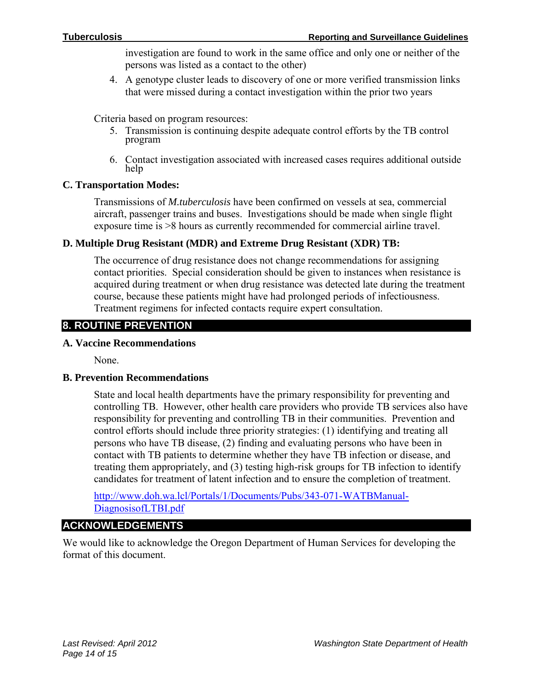investigation are found to work in the same office and only one or neither of the persons was listed as a contact to the other)

4. A genotype cluster leads to discovery of one or more verified transmission links that were missed during a contact investigation within the prior two years

Criteria based on program resources:

- 5. Transmission is continuing despite adequate control efforts by the TB control program
- 6. Contact investigation associated with increased cases requires additional outside help

# **C. Transportation Modes:**

Transmissions of *M.tuberculosis* have been confirmed on vessels at sea, commercial aircraft, passenger trains and buses. Investigations should be made when single flight exposure time is >8 hours as currently recommended for commercial airline travel.

# **D. Multiple Drug Resistant (MDR) and Extreme Drug Resistant (XDR) TB:**

The occurrence of drug resistance does not change recommendations for assigning contact priorities. Special consideration should be given to instances when resistance is acquired during treatment or when drug resistance was detected late during the treatment course, because these patients might have had prolonged periods of infectiousness. Treatment regimens for infected contacts require expert consultation.

# **8. ROUTINE PREVENTION**

# **A. Vaccine Recommendations**

None.

#### **B. Prevention Recommendations**

State and local health departments have the primary responsibility for preventing and controlling TB. However, other health care providers who provide TB services also have responsibility for preventing and controlling TB in their communities. Prevention and control efforts should include three priority strategies: (1) identifying and treating all persons who have TB disease, (2) finding and evaluating persons who have been in contact with TB patients to determine whether they have TB infection or disease, and treating them appropriately, and (3) testing high-risk groups for TB infection to identify candidates for treatment of latent infection and to ensure the completion of treatment.

[http://www.doh.wa.lcl/Portals/1/Documents/Pubs/343-071-WATBManual-](http://www.doh.wa.lcl/Portals/1/Documents/Pubs/343-071-WATBManual-DiagnosisofLTBI.pdf)[DiagnosisofLTBI.pdf](http://www.doh.wa.lcl/Portals/1/Documents/Pubs/343-071-WATBManual-DiagnosisofLTBI.pdf) 

# **ACKNOWLEDGEMENTS**

We would like to acknowledge the Oregon Department of Human Services for developing the format of this document.